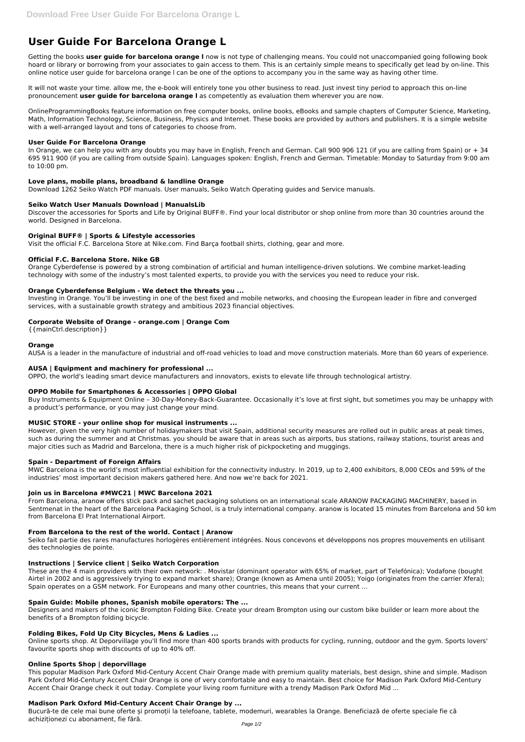# **User Guide For Barcelona Orange L**

Getting the books **user guide for barcelona orange l** now is not type of challenging means. You could not unaccompanied going following book hoard or library or borrowing from your associates to gain access to them. This is an certainly simple means to specifically get lead by on-line. This online notice user guide for barcelona orange l can be one of the options to accompany you in the same way as having other time.

It will not waste your time. allow me, the e-book will entirely tone you other business to read. Just invest tiny period to approach this on-line pronouncement **user guide for barcelona orange l** as competently as evaluation them wherever you are now.

In Orange, we can help you with any doubts you may have in English, French and German. Call 900 906 121 (if you are calling from Spain) or + 34 695 911 900 (if you are calling from outside Spain). Languages spoken: English, French and German. Timetable: Monday to Saturday from 9:00 am to 10:00 pm.

OnlineProgrammingBooks feature information on free computer books, online books, eBooks and sample chapters of Computer Science, Marketing, Math, Information Technology, Science, Business, Physics and Internet. These books are provided by authors and publishers. It is a simple website with a well-arranged layout and tons of categories to choose from.

## **User Guide For Barcelona Orange**

## **Love plans, mobile plans, broadband & landline Orange**

Download 1262 Seiko Watch PDF manuals. User manuals, Seiko Watch Operating guides and Service manuals.

## **Seiko Watch User Manuals Download | ManualsLib**

Discover the accessories for Sports and Life by Original BUFF®. Find your local distributor or shop online from more than 30 countries around the world. Designed in Barcelona.

# **Original BUFF® | Sports & Lifestyle accessories**

Visit the official F.C. Barcelona Store at Nike.com. Find Barça football shirts, clothing, gear and more.

## **Official F.C. Barcelona Store. Nike GB**

Orange Cyberdefense is powered by a strong combination of artificial and human intelligence-driven solutions. We combine market-leading technology with some of the industry's most talented experts, to provide you with the services you need to reduce your risk.

# **Orange Cyberdefense Belgium - We detect the threats you ...**

Investing in Orange. You'll be investing in one of the best fixed and mobile networks, and choosing the European leader in fibre and converged services, with a sustainable growth strategy and ambitious 2023 financial objectives.

# **Corporate Website of Orange - orange.com | Orange Com**

{{mainCtrl.description}}

#### **Orange**

AUSA is a leader in the manufacture of industrial and off-road vehicles to load and move construction materials. More than 60 years of experience.

# **AUSA | Equipment and machinery for professional ...**

OPPO, the world's leading smart device manufacturers and innovators, exists to elevate life through technological artistry.

#### **OPPO Mobile for Smartphones & Accessories | OPPO Global**

Buy Instruments & Equipment Online – 30-Day-Money-Back-Guarantee. Occasionally it's love at first sight, but sometimes you may be unhappy with a product's performance, or you may just change your mind.

# **MUSIC STORE - your online shop for musical instruments ...**

However, given the very high number of holidaymakers that visit Spain, additional security measures are rolled out in public areas at peak times, such as during the summer and at Christmas. you should be aware that in areas such as airports, bus stations, railway stations, tourist areas and major cities such as Madrid and Barcelona, there is a much higher risk of pickpocketing and muggings.

#### **Spain - Department of Foreign Affairs**

MWC Barcelona is the world's most influential exhibition for the connectivity industry. In 2019, up to 2,400 exhibitors, 8,000 CEOs and 59% of the industries' most important decision makers gathered here. And now we're back for 2021.

# **Join us in Barcelona #MWC21 | MWC Barcelona 2021**

From Barcelona, aranow offers stick pack and sachet packaging solutions on an international scale ARANOW PACKAGING MACHINERY, based in Sentmenat in the heart of the Barcelona Packaging School, is a truly international company. aranow is located 15 minutes from Barcelona and 50 km from Barcelona El Prat International Airport.

#### **From Barcelona to the rest of the world. Contact | Aranow**

Seiko fait partie des rares manufactures horlogères entièrement intégrées. Nous concevons et développons nos propres mouvements en utilisant des technologies de pointe.

## **Instructions | Service client | Seiko Watch Corporation**

These are the 4 main providers with their own network: . Movistar (dominant operator with 65% of market, part of Telefónica); Vodafone (bought Airtel in 2002 and is aggressively trying to expand market share); Orange (known as Amena until 2005); Yoigo (originates from the carrier Xfera); Spain operates on a GSM network. For Europeans and many other countries, this means that your current ...

#### **Spain Guide: Mobile phones, Spanish mobile operators: The ...**

Designers and makers of the iconic Brompton Folding Bike. Create your dream Brompton using our custom bike builder or learn more about the benefits of a Brompton folding bicycle.

#### **Folding Bikes, Fold Up City Bicycles, Mens & Ladies ...**

Online sports shop. At Deporvillage you'll find more than 400 sports brands with products for cycling, running, outdoor and the gym. Sports lovers' favourite sports shop with discounts of up to 40% off.

#### **Online Sports Shop | deporvillage**

This popular Madison Park Oxford Mid-Century Accent Chair Orange made with premium quality materials, best design, shine and simple. Madison Park Oxford Mid-Century Accent Chair Orange is one of very comfortable and easy to maintain. Best choice for Madison Park Oxford Mid-Century Accent Chair Orange check it out today. Complete your living room furniture with a trendy Madison Park Oxford Mid ...

#### **Madison Park Oxford Mid-Century Accent Chair Orange by ...**

Bucură-te de cele mai bune oferte și promoții la telefoane, tablete, modemuri, wearables la Orange. Beneficiază de oferte speciale fie că achiziționezi cu abonament, fie fără.